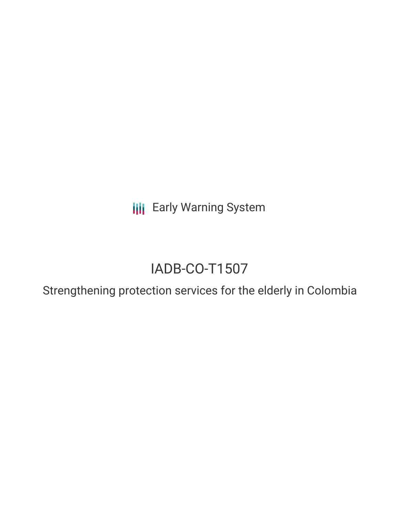**III** Early Warning System

# IADB-CO-T1507

Strengthening protection services for the elderly in Colombia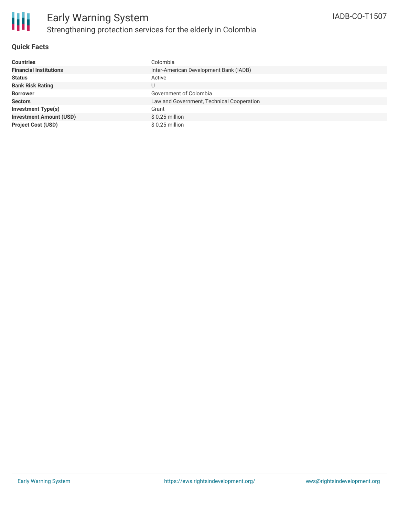

### **Quick Facts**

| <b>Countries</b>               | Colombia                                  |
|--------------------------------|-------------------------------------------|
| <b>Financial Institutions</b>  | Inter-American Development Bank (IADB)    |
| <b>Status</b>                  | Active                                    |
| <b>Bank Risk Rating</b>        | U                                         |
| <b>Borrower</b>                | Government of Colombia                    |
| <b>Sectors</b>                 | Law and Government, Technical Cooperation |
| Investment Type(s)             | Grant                                     |
| <b>Investment Amount (USD)</b> | $$0.25$ million                           |
| <b>Project Cost (USD)</b>      | $$0.25$ million                           |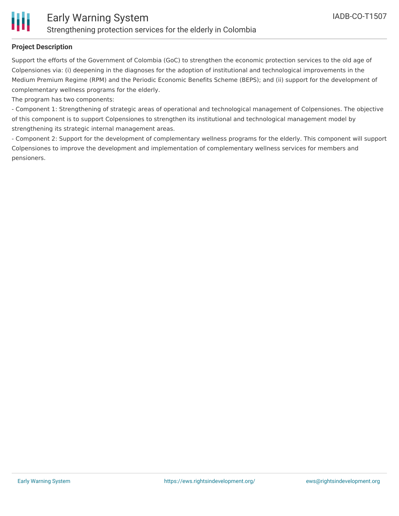

## **Project Description**

Support the efforts of the Government of Colombia (GoC) to strengthen the economic protection services to the old age of Colpensiones via: (i) deepening in the diagnoses for the adoption of institutional and technological improvements in the Medium Premium Regime (RPM) and the Periodic Economic Benefits Scheme (BEPS); and (ii) support for the development of complementary wellness programs for the elderly.

The program has two components:

- Component 1: Strengthening of strategic areas of operational and technological management of Colpensiones. The objective of this component is to support Colpensiones to strengthen its institutional and technological management model by strengthening its strategic internal management areas.

- Component 2: Support for the development of complementary wellness programs for the elderly. This component will support Colpensiones to improve the development and implementation of complementary wellness services for members and pensioners.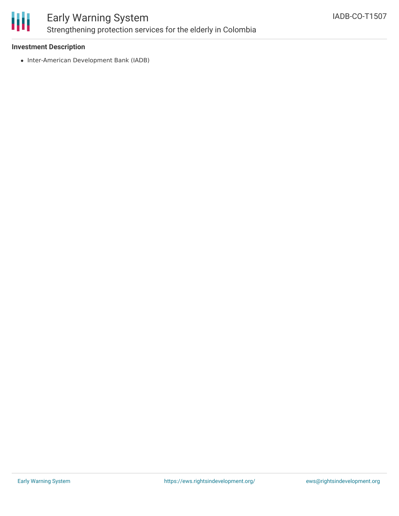

# Early Warning System Strengthening protection services for the elderly in Colombia

### **Investment Description**

• Inter-American Development Bank (IADB)